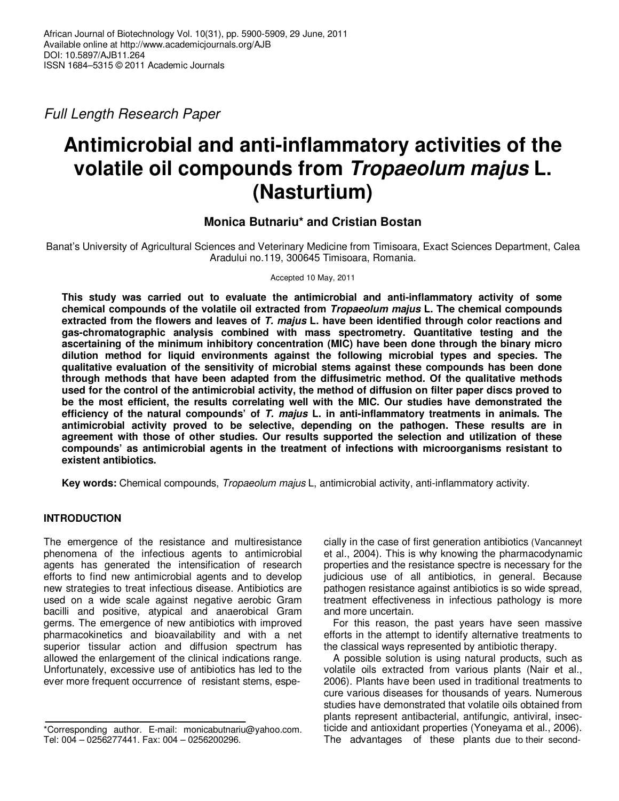Full Length Research Paper

# **Antimicrobial and anti-inflammatory activities of the volatile oil compounds from Tropaeolum majus L. (Nasturtium)**

# **Monica Butnariu\* and Cristian Bostan**

Banat's University of Agricultural Sciences and Veterinary Medicine from Timisoara, Exact Sciences Department, Calea Aradului no.119, 300645 Timisoara, Romania.

Accepted 10 May, 2011

**This study was carried out to evaluate the antimicrobial and anti-inflammatory activity of some chemical compounds of the volatile oil extracted from Tropaeolum majus L. The chemical compounds extracted from the flowers and leaves of T. majus L. have been identified through color reactions and gas-chromatographic analysis combined with mass spectrometry. Quantitative testing and the ascertaining of the minimum inhibitory concentration (MIC) have been done through the binary micro dilution method for liquid environments against the following microbial types and species. The qualitative evaluation of the sensitivity of microbial stems against these compounds has been done through methods that have been adapted from the diffusimetric method. Of the qualitative methods used for the control of the antimicrobial activity, the method of diffusion on filter paper discs proved to be the most efficient, the results correlating well with the MIC. Our studies have demonstrated the efficiency of the natural compounds' of T. majus L. in anti-inflammatory treatments in animals. The antimicrobial activity proved to be selective, depending on the pathogen. These results are in agreement with those of other studies. Our results supported the selection and utilization of these compounds' as antimicrobial agents in the treatment of infections with microorganisms resistant to existent antibiotics.** 

**Key words:** Chemical compounds, Tropaeolum majus L, antimicrobial activity, anti-inflammatory activity.

# **INTRODUCTION**

The emergence of the resistance and multiresistance phenomena of the infectious agents to antimicrobial agents has generated the intensification of research efforts to find new antimicrobial agents and to develop new strategies to treat infectious disease. Antibiotics are used on a wide scale against negative aerobic Gram bacilli and positive, atypical and anaerobical Gram germs. The emergence of new antibiotics with improved pharmacokinetics and bioavailability and with a net superior tissular action and diffusion spectrum has allowed the enlargement of the clinical indications range. Unfortunately, excessive use of antibiotics has led to the ever more frequent occurrence of resistant stems, espe-

cially in the case of first generation antibiotics (Vancanneyt et al., 2004). This is why knowing the pharmacodynamic properties and the resistance spectre is necessary for the judicious use of all antibiotics, in general. Because pathogen resistance against antibiotics is so wide spread, treatment effectiveness in infectious pathology is more and more uncertain.

For this reason, the past years have seen massive efforts in the attempt to identify alternative treatments to the classical ways represented by antibiotic therapy.

A possible solution is using natural products, such as volatile oils extracted from various plants (Nair et al., 2006). Plants have been used in traditional treatments to cure various diseases for thousands of years. Numerous studies have demonstrated that volatile oils obtained from plants represent antibacterial, antifungic, antiviral, insecticide and antioxidant properties (Yoneyama et al., 2006). The advantages of these plants due to their second-

<sup>\*</sup>Corresponding author. E-mail: monicabutnariu@yahoo.com. Tel: 004 – 0256277441. Fax: 004 – 0256200296.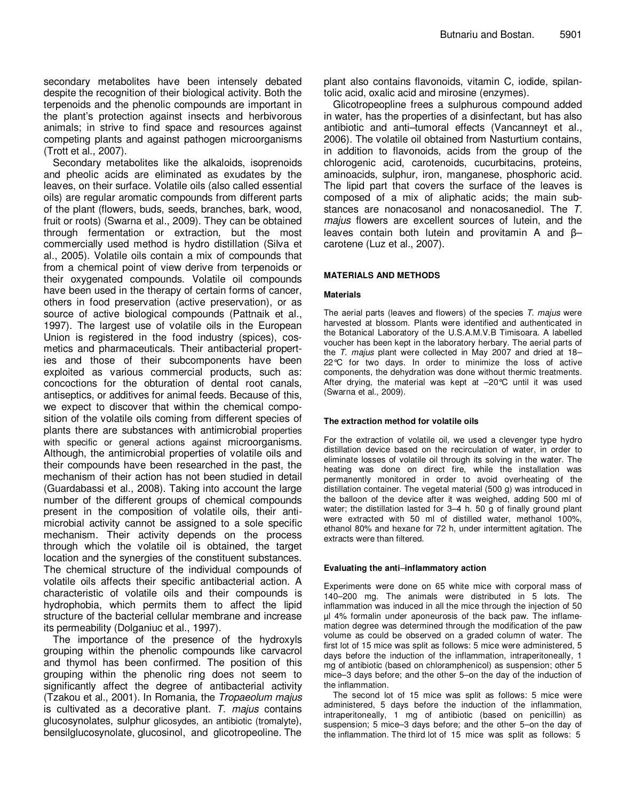secondary metabolites have been intensely debated despite the recognition of their biological activity. Both the terpenoids and the phenolic compounds are important in the plant's protection against insects and herbivorous animals; in strive to find space and resources against competing plants and against pathogen microorganisms (Trott et al., 2007).

Secondary metabolites like the alkaloids, isoprenoids and pheolic acids are eliminated as exudates by the leaves, on their surface. Volatile oils (also called essential oils) are regular aromatic compounds from different parts of the plant (flowers, buds, seeds, branches, bark, wood, fruit or roots) (Swarna et al., 2009). They can be obtained through fermentation or extraction, but the most commercially used method is hydro distillation (Silva et al., 2005). Volatile oils contain a mix of compounds that from a chemical point of view derive from terpenoids or their oxygenated compounds. Volatile oil compounds have been used in the therapy of certain forms of cancer, others in food preservation (active preservation), or as source of active biological compounds (Pattnaik et al., 1997). The largest use of volatile oils in the European Union is registered in the food industry (spices), cosmetics and pharmaceuticals. Their antibacterial properties and those of their subcomponents have been exploited as various commercial products, such as: concoctions for the obturation of dental root canals, antiseptics, or additives for animal feeds. Because of this, we expect to discover that within the chemical composition of the volatile oils coming from different species of plants there are substances with antimicrobial properties with specific or general actions against microorganisms. Although, the antimicrobial properties of volatile oils and their compounds have been researched in the past, the mechanism of their action has not been studied in detail (Guardabassi et al., 2008). Taking into account the large number of the different groups of chemical compounds present in the composition of volatile oils, their antimicrobial activity cannot be assigned to a sole specific mechanism. Their activity depends on the process through which the volatile oil is obtained, the target location and the synergies of the constituent substances. The chemical structure of the individual compounds of volatile oils affects their specific antibacterial action. A characteristic of volatile oils and their compounds is hydrophobia, which permits them to affect the lipid structure of the bacterial cellular membrane and increase its permeability (Dolganiuc et al., 1997).

The importance of the presence of the hydroxyls grouping within the phenolic compounds like carvacrol and thymol has been confirmed. The position of this grouping within the phenolic ring does not seem to significantly affect the degree of antibacterial activity (Tzakou et al., 2001). In Romania, the Tropaeolum majus is cultivated as a decorative plant.  $T$ . majus contains glucosynolates, sulphur glicosydes, an antibiotic (tromalyte), bensilglucosynolate, glucosinol, and glicotropeoline. The plant also contains flavonoids, vitamin C, iodide, spilantolic acid, oxalic acid and mirosine (enzymes).

Glicotropeopline frees a sulphurous compound added in water, has the properties of a disinfectant, but has also antibiotic and anti–tumoral effects (Vancanneyt et al., 2006). The volatile oil obtained from Nasturtium contains, in addition to flavonoids, acids from the group of the chlorogenic acid, carotenoids, cucurbitacins, proteins, aminoacids, sulphur, iron, manganese, phosphoric acid. The lipid part that covers the surface of the leaves is composed of a mix of aliphatic acids; the main substances are nonacosanol and nonacosanediol. The T. majus flowers are excellent sources of lutein, and the leaves contain both lutein and provitamin A and β– carotene (Luz et al., 2007).

### **MATERIALS AND METHODS**

#### **Materials**

The aerial parts (leaves and flowers) of the species  $T$ . majus were harvested at blossom. Plants were identified and authenticated in the Botanical Laboratory of the U.S.A.M.V.B Timisoara. A labelled voucher has been kept in the laboratory herbary. The aerial parts of the T. majus plant were collected in May 2007 and dried at 18– 22°C for two days. In order to minimize the loss of active components, the dehydration was done without thermic treatments. After drying, the material was kept at –20°C until it was used (Swarna et al., 2009).

#### **The extraction method for volatile oils**

For the extraction of volatile oil, we used a clevenger type hydro distillation device based on the recirculation of water, in order to eliminate losses of volatile oil through its solving in the water. The heating was done on direct fire, while the installation was permanently monitored in order to avoid overheating of the distillation container. The vegetal material (500 g) was introduced in the balloon of the device after it was weighed, adding 500 ml of water; the distillation lasted for 3–4 h. 50 g of finally ground plant were extracted with 50 ml of distilled water, methanol 100%, ethanol 80% and hexane for 72 h, under intermittent agitation. The extracts were than filtered.

#### **Evaluating the anti**–**inflammatory action**

Experiments were done on 65 white mice with corporal mass of 140–200 mg. The animals were distributed in 5 lots. The inflammation was induced in all the mice through the injection of 50 µl 4% formalin under aponeurosis of the back paw. The inflamemation degree was determined through the modification of the paw volume as could be observed on a graded column of water. The first lot of 15 mice was split as follows: 5 mice were administered, 5 days before the induction of the inflammation, intraperitoneally, 1 mg of antibiotic (based on chloramphenicol) as suspension; other 5 mice–3 days before; and the other 5–on the day of the induction of the inflammation.

The second lot of 15 mice was split as follows: 5 mice were administered, 5 days before the induction of the inflammation, intraperitoneally, 1 mg of antibiotic (based on penicillin) as suspension; 5 mice–3 days before; and the other 5–on the day of the inflammation. The third lot of 15 mice was split as follows: 5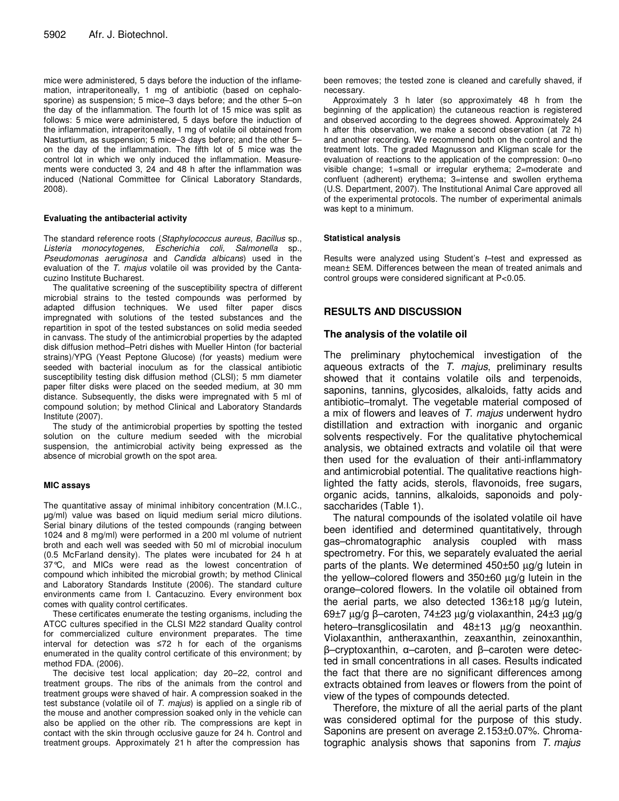mice were administered, 5 days before the induction of the inflamemation, intraperitoneally, 1 mg of antibiotic (based on cephalosporine) as suspension; 5 mice–3 days before; and the other 5–on the day of the inflammation. The fourth lot of 15 mice was split as follows: 5 mice were administered, 5 days before the induction of the inflammation, intraperitoneally, 1 mg of volatile oil obtained from Nasturtium, as suspension; 5 mice–3 days before; and the other 5– on the day of the inflammation. The fifth lot of 5 mice was the control lot in which we only induced the inflammation. Measurements were conducted 3, 24 and 48 h after the inflammation was induced (National Committee for Clinical Laboratory Standards, 2008).

#### **Evaluating the antibacterial activity**

The standard reference roots (Staphylococcus aureus, Bacillus sp., Listeria monocytogenes, Escherichia coli, Salmonella sp., Pseudomonas aeruginosa and Candida albicans) used in the evaluation of the T. majus volatile oil was provided by the Cantacuzino Institute Bucharest.

The qualitative screening of the susceptibility spectra of different microbial strains to the tested compounds was performed by adapted diffusion techniques. We used filter paper discs impregnated with solutions of the tested substances and the repartition in spot of the tested substances on solid media seeded in canvass. The study of the antimicrobial properties by the adapted disk diffusion method–Petri dishes with Mueller Hinton (for bacterial strains)/YPG (Yeast Peptone Glucose) (for yeasts) medium were seeded with bacterial inoculum as for the classical antibiotic susceptibility testing disk diffusion method (CLSI); 5 mm diameter paper filter disks were placed on the seeded medium, at 30 mm distance. Subsequently, the disks were impregnated with 5 ml of compound solution; by method Clinical and Laboratory Standards Institute (2007).

The study of the antimicrobial properties by spotting the tested solution on the culture medium seeded with the microbial suspension, the antimicrobial activity being expressed as the absence of microbial growth on the spot area.

#### **MIC assays**

The quantitative assay of minimal inhibitory concentration (M.I.C., µg/ml) value was based on liquid medium serial micro dilutions. Serial binary dilutions of the tested compounds (ranging between 1024 and 8 mg/ml) were performed in a 200 ml volume of nutrient broth and each well was seeded with 50 ml of microbial inoculum (0.5 McFarland density). The plates were incubated for 24 h at 37°C, and MICs were read as the lowest concentration of compound which inhibited the microbial growth; by method Clinical and Laboratory Standards Institute (2006). The standard culture environments came from I. Cantacuzino. Every environment box comes with quality control certificates.

These certificates enumerate the testing organisms, including the ATCC cultures specified in the CLSI M22 standard Quality control for commercialized culture environment preparates. The time interval for detection was ≤72 h for each of the organisms enumerated in the quality control certificate of this environment; by method FDA. (2006).

The decisive test local application; day 20–22, control and treatment groups. The ribs of the animals from the control and treatment groups were shaved of hair. A compression soaked in the test substance (volatile oil of T. majus) is applied on a single rib of the mouse and another compression soaked only in the vehicle can also be applied on the other rib. The compressions are kept in contact with the skin through occlusive gauze for 24 h. Control and treatment groups. Approximately 21 h after the compression has

been removes; the tested zone is cleaned and carefully shaved, if necessary.

Approximately 3 h later (so approximately 48 h from the beginning of the application) the cutaneous reaction is registered and observed according to the degrees showed. Approximately 24 h after this observation, we make a second observation (at 72 h) and another recording. We recommend both on the control and the treatment lots. The graded Magnusson and Kligman scale for the evaluation of reactions to the application of the compression: 0=no visible change; 1=small or irregular erythema; 2=moderate and confluent (adherent) erythema; 3=intense and swollen erythema (U.S. Department, 2007). The Institutional Animal Care approved all of the experimental protocols. The number of experimental animals was kept to a minimum.

### **Statistical analysis**

Results were analyzed using Student's t-test and expressed as mean± SEM. Differences between the mean of treated animals and control groups were considered significant at P<0.05.

## **RESULTS AND DISCUSSION**

## **The analysis of the volatile oil**

The preliminary phytochemical investigation of the aqueous extracts of the T. majus, preliminary results showed that it contains volatile oils and terpenoids, saponins, tannins, glycosides, alkaloids, fatty acids and antibiotic–tromalyt. The vegetable material composed of a mix of flowers and leaves of T. majus underwent hydro distillation and extraction with inorganic and organic solvents respectively. For the qualitative phytochemical analysis, we obtained extracts and volatile oil that were then used for the evaluation of their anti-inflammatory and antimicrobial potential. The qualitative reactions highlighted the fatty acids, sterols, flavonoids, free sugars, organic acids, tannins, alkaloids, saponoids and polysaccharides (Table 1).

The natural compounds of the isolated volatile oil have been identified and determined quantitatively, through gas–chromatographic analysis coupled with mass spectrometry. For this, we separately evaluated the aerial parts of the plants. We determined 450±50 µg/g lutein in the yellow–colored flowers and 350±60 µg/g lutein in the orange–colored flowers. In the volatile oil obtained from the aerial parts, we also detected  $136\pm18$   $\mu$ g/g lutein, 69±7 µg/g β–caroten, 74±23 µg/g violaxanthin, 24±3 µg/g hetero–transglicosilatin and 48±13 µg/g neoxanthin. Violaxanthin, antheraxanthin, zeaxanthin, zeinoxanthin, β–cryptoxanthin, α–caroten, and β–caroten were detected in small concentrations in all cases. Results indicated the fact that there are no significant differences among extracts obtained from leaves or flowers from the point of view of the types of compounds detected.

Therefore, the mixture of all the aerial parts of the plant was considered optimal for the purpose of this study. Saponins are present on average 2.153±0.07%. Chromatographic analysis shows that saponins from  $T$ . *majus*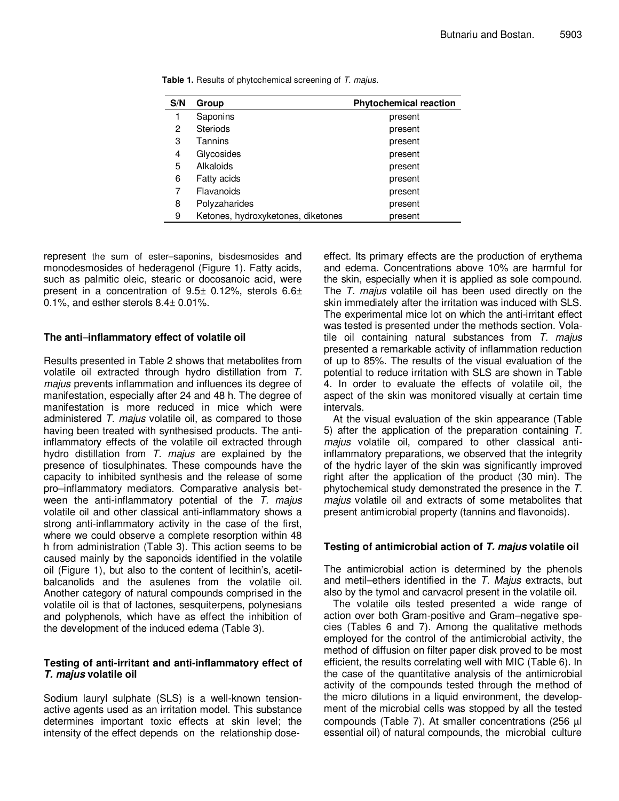| S/N | Group                              | <b>Phytochemical reaction</b> |
|-----|------------------------------------|-------------------------------|
| 1   | Saponins                           | present                       |
| 2   | <b>Steriods</b>                    | present                       |
| 3   | Tannins                            | present                       |
| 4   | Glycosides                         | present                       |
| 5   | Alkaloids                          | present                       |
| 6   | Fatty acids                        | present                       |
| 7   | Flavanoids                         | present                       |
| 8   | Polyzaharides                      | present                       |
| 9   | Ketones, hydroxyketones, diketones | present                       |

**Table 1.** Results of phytochemical screening of T. majus.

represent the sum of ester–saponins, bisdesmosides and monodesmosides of hederagenol (Figure 1). Fatty acids, such as palmitic oleic, stearic or docosanoic acid, were present in a concentration of 9.5± 0.12%, sterols 6.6± 0.1%, and esther sterols 8.4± 0.01%.

# **The anti**–**inflammatory effect of volatile oil**

Results presented in Table 2 shows that metabolites from volatile oil extracted through hydro distillation from T. majus prevents inflammation and influences its degree of manifestation, especially after 24 and 48 h. The degree of manifestation is more reduced in mice which were administered T. majus volatile oil, as compared to those having been treated with synthesised products. The antiinflammatory effects of the volatile oil extracted through hydro distillation from  $T$ . majus are explained by the presence of tiosulphinates. These compounds have the capacity to inhibited synthesis and the release of some pro–inflammatory mediators. Comparative analysis between the anti-inflammatory potential of the T. majus volatile oil and other classical anti-inflammatory shows a strong anti-inflammatory activity in the case of the first, where we could observe a complete resorption within 48 h from administration (Table 3). This action seems to be caused mainly by the saponoids identified in the volatile oil (Figure 1), but also to the content of lecithin's, acetilbalcanolids and the asulenes from the volatile oil. Another category of natural compounds comprised in the volatile oil is that of lactones, sesquiterpens, polynesians and polyphenols, which have as effect the inhibition of the development of the induced edema (Table 3).

# **Testing of anti-irritant and anti-inflammatory effect of T. majus volatile oil**

Sodium lauryl sulphate (SLS) is a well-known tensionactive agents used as an irritation model. This substance determines important toxic effects at skin level; the intensity of the effect depends on the relationship dose-

effect. Its primary effects are the production of erythema and edema. Concentrations above 10% are harmful for the skin, especially when it is applied as sole compound. The T. majus volatile oil has been used directly on the skin immediately after the irritation was induced with SLS. The experimental mice lot on which the anti-irritant effect was tested is presented under the methods section. Volatile oil containing natural substances from  $T$ . majus presented a remarkable activity of inflammation reduction of up to 85%. The results of the visual evaluation of the potential to reduce irritation with SLS are shown in Table 4. In order to evaluate the effects of volatile oil, the aspect of the skin was monitored visually at certain time intervals.

At the visual evaluation of the skin appearance (Table 5) after the application of the preparation containing T. majus volatile oil, compared to other classical antiinflammatory preparations, we observed that the integrity of the hydric layer of the skin was significantly improved right after the application of the product (30 min). The phytochemical study demonstrated the presence in the T. majus volatile oil and extracts of some metabolites that present antimicrobial property (tannins and flavonoids).

## **Testing of antimicrobial action of T. majus volatile oil**

The antimicrobial action is determined by the phenols and metil–ethers identified in the T. Majus extracts, but also by the tymol and carvacrol present in the volatile oil.

The volatile oils tested presented a wide range of action over both Gram-positive and Gram–negative species (Tables 6 and 7). Among the qualitative methods employed for the control of the antimicrobial activity, the method of diffusion on filter paper disk proved to be most efficient, the results correlating well with MIC (Table 6). In the case of the quantitative analysis of the antimicrobial activity of the compounds tested through the method of the micro dilutions in a liquid environment, the development of the microbial cells was stopped by all the tested compounds (Table 7). At smaller concentrations (256 µl essential oil) of natural compounds, the microbial culture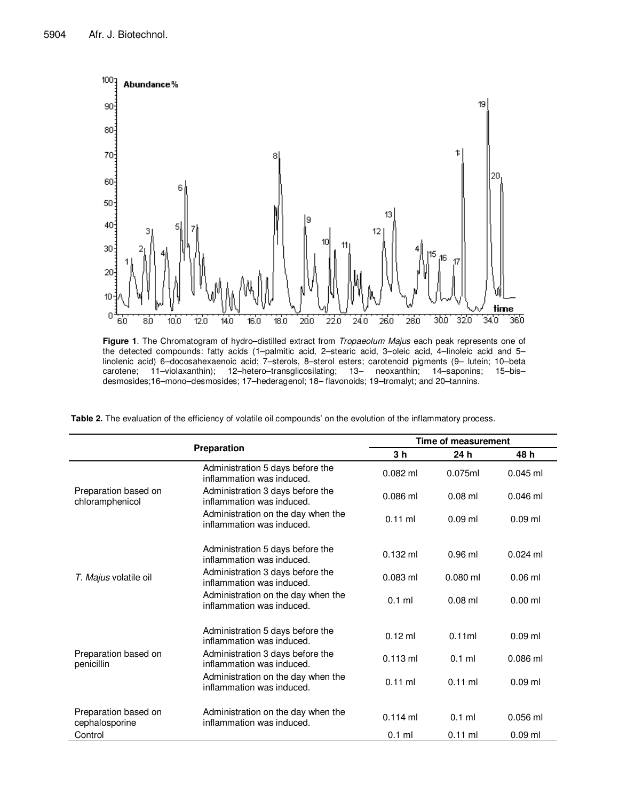

**Figure 1**. The Chromatogram of hydro–distilled extract from Tropaeolum Majus each peak represents one of the detected compounds: fatty acids (1–palmitic acid, 2–stearic acid, 3–oleic acid, 4–linoleic acid and 5– linolenic acid) 6–docosahexaenoic acid; 7–sterols, 8–sterol esters; carotenoid pigments (9– lutein; 10–beta carotene; 11–violaxanthin); 12–hetero–transglicosilating; 13– neoxanthin; 14–saponins; 15–bis– desmosides;16–mono–desmosides; 17–hederagenol; 18– flavonoids; 19–tromalyt; and 20–tannins.

**Table 2.** The evaluation of the efficiency of volatile oil compounds' on the evolution of the inflammatory process.

|                                         |                                                                 |                | <b>Time of measurement</b> |            |  |  |  |
|-----------------------------------------|-----------------------------------------------------------------|----------------|----------------------------|------------|--|--|--|
|                                         | Preparation                                                     | 3 <sub>h</sub> | 24 h                       | 48 h       |  |  |  |
|                                         | Administration 5 days before the<br>inflammation was induced.   | $0.082$ ml     | 0.075ml                    | $0.045$ ml |  |  |  |
| Preparation based on<br>chloramphenicol | Administration 3 days before the<br>inflammation was induced.   | $0.086$ ml     | $0.08$ ml                  | $0.046$ ml |  |  |  |
|                                         | Administration on the day when the<br>inflammation was induced. | $0.11$ ml      | $0.09$ ml                  | $0.09$ ml  |  |  |  |
|                                         | Administration 5 days before the<br>inflammation was induced.   | $0.132$ ml     | $0.96$ ml                  | $0.024$ ml |  |  |  |
| T. Majus volatile oil                   | Administration 3 days before the<br>inflammation was induced.   | $0.083$ ml     | $0.080$ ml                 | $0.06$ ml  |  |  |  |
|                                         | Administration on the day when the<br>inflammation was induced. | $0.1$ ml       | $0.08$ ml                  | $0.00$ ml  |  |  |  |
|                                         | Administration 5 days before the<br>inflammation was induced.   | $0.12$ ml      | 0.11ml                     | $0.09$ ml  |  |  |  |
| Preparation based on<br>penicillin      | Administration 3 days before the<br>inflammation was induced.   | $0.113$ ml     | $0.1$ ml                   | $0.086$ ml |  |  |  |
|                                         | Administration on the day when the<br>inflammation was induced. | $0.11$ ml      | $0.11$ ml                  | $0.09$ ml  |  |  |  |
| Preparation based on<br>cephalosporine  | Administration on the day when the<br>inflammation was induced. | $0.114$ ml     | $0.1$ ml                   | 0.056 ml   |  |  |  |
| Control                                 |                                                                 | $0.1$ ml       | $0.11$ ml                  | $0.09$ ml  |  |  |  |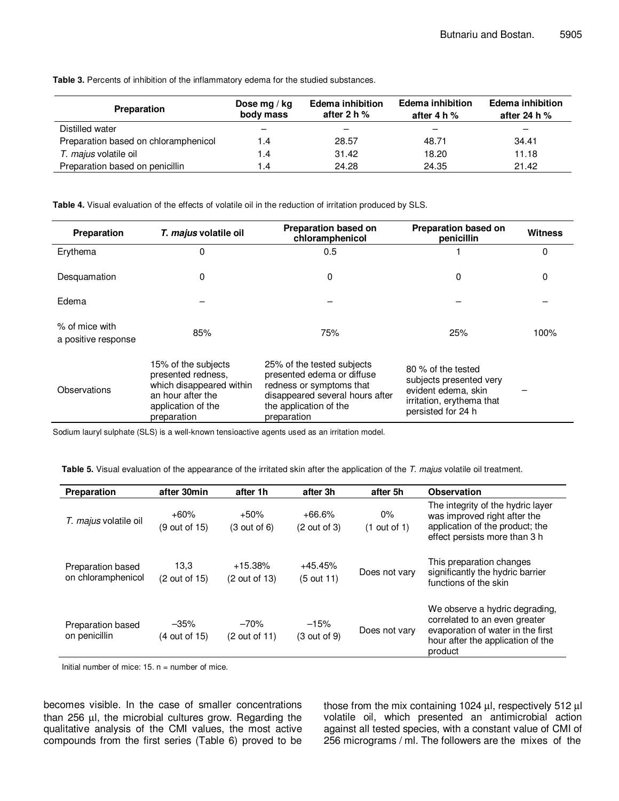**Table 3.** Percents of inhibition of the inflammatory edema for the studied substances.

| <b>Preparation</b>                   | Dose mg / $kg$<br>body mass | <b>Edema inhibition</b><br>after 2 h $%$ | <b>Edema inhibition</b><br>after 4 h $%$ | <b>Edema inhibition</b><br>after 24 h $%$ |
|--------------------------------------|-----------------------------|------------------------------------------|------------------------------------------|-------------------------------------------|
| Distilled water                      |                             |                                          |                                          |                                           |
| Preparation based on chloramphenicol | 1.4                         | 28.57                                    | 48.71                                    | 34.41                                     |
| T. majus volatile oil                | 1.4                         | 31.42                                    | 18.20                                    | 11.18                                     |
| Preparation based on penicillin      | 1.4                         | 24.28                                    | 24.35                                    | 21.42                                     |

**Table 4.** Visual evaluation of the effects of volatile oil in the reduction of irritation produced by SLS.

| Preparation                             | T. majus volatile oil                                                                                                           | <b>Preparation based on</b><br>chloramphenicol                                                                                                                   |                                                                                                                         | <b>Witness</b> |
|-----------------------------------------|---------------------------------------------------------------------------------------------------------------------------------|------------------------------------------------------------------------------------------------------------------------------------------------------------------|-------------------------------------------------------------------------------------------------------------------------|----------------|
| Erythema                                | 0                                                                                                                               | 0.5                                                                                                                                                              |                                                                                                                         | 0              |
| Desquamation                            | 0                                                                                                                               | 0                                                                                                                                                                | 0                                                                                                                       | 0              |
| Edema                                   |                                                                                                                                 |                                                                                                                                                                  |                                                                                                                         |                |
| $%$ of mice with<br>a positive response | 85%                                                                                                                             | 75%                                                                                                                                                              | 25%                                                                                                                     | 100%           |
| Observations                            | 15% of the subjects<br>presented redness.<br>which disappeared within<br>an hour after the<br>application of the<br>preparation | 25% of the tested subjects<br>presented edema or diffuse<br>redness or symptoms that<br>disappeared several hours after<br>the application of the<br>preparation | 80 % of the tested<br>subjects presented very<br>evident edema, skin<br>irritation, erythema that<br>persisted for 24 h |                |

Sodium lauryl sulphate (SLS) is a well-known tensioactive agents used as an irritation model.

Table 5. Visual evaluation of the appearance of the irritated skin after the application of the T. majus volatile oil treatment.

| <b>Preparation</b>                      | after 30min             | after 1h                    | after 3h                  | after 5h                | <b>Observation</b>                                                                                                                                   |
|-----------------------------------------|-------------------------|-----------------------------|---------------------------|-------------------------|------------------------------------------------------------------------------------------------------------------------------------------------------|
| T. majus volatile oil                   | $+60%$<br>(9 out of 15) | $+50%$<br>(3 out of 6)      | $+66.6%$<br>(2 out of 3)  | $0\%$<br>$(1$ out of 1) | The integrity of the hydric layer<br>was improved right after the<br>application of the product; the<br>effect persists more than 3 h                |
| Preparation based<br>on chloramphenicol | 13,3<br>(2 out of 15)   | $+15.38\%$<br>(2 out of 13) | $+45.45%$<br>$(5$ out 11) | Does not vary           | This preparation changes<br>significantly the hydric barrier<br>functions of the skin                                                                |
| Preparation based<br>on penicillin      | $-35%$<br>(4 out of 15) | $-70%$<br>(2 out of 11)     | $-15%$<br>(3 out of 9)    | Does not vary           | We observe a hydric degrading,<br>correlated to an even greater<br>evaporation of water in the first<br>hour after the application of the<br>product |

Initial number of mice:  $15. n =$  number of mice.

becomes visible. In the case of smaller concentrations than 256 µl, the microbial cultures grow. Regarding the qualitative analysis of the CMI values, the most active compounds from the first series (Table 6) proved to be those from the mix containing 1024 µl, respectively 512 µl volatile oil, which presented an antimicrobial action against all tested species, with a constant value of CMI of 256 micrograms / ml. The followers are the mixes of the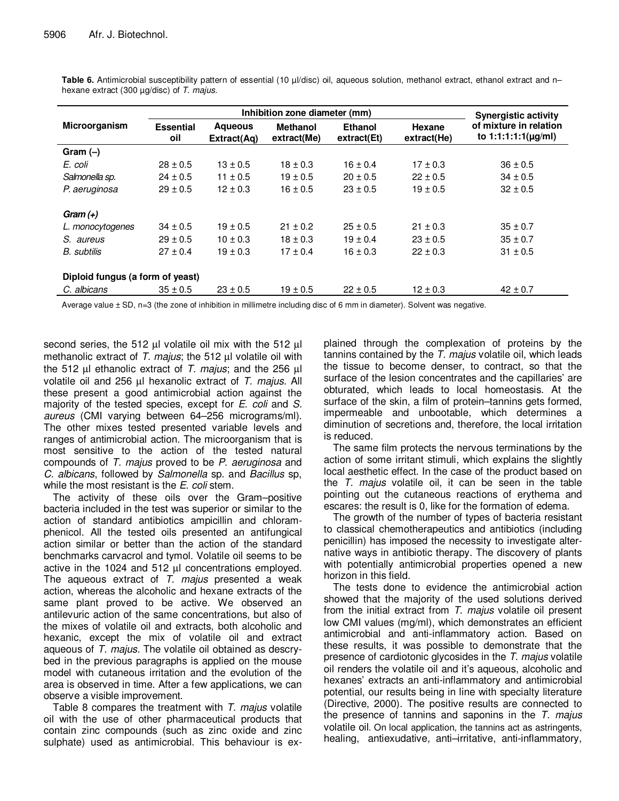|                                  |                         | <b>Synergistic activity</b>                                     |              |                               |                       |                                                  |  |
|----------------------------------|-------------------------|-----------------------------------------------------------------|--------------|-------------------------------|-----------------------|--------------------------------------------------|--|
| Microorganism                    | <b>Essential</b><br>oil | <b>Agueous</b><br><b>Methanol</b><br>extract(Me)<br>Extract(Ag) |              | <b>Ethanol</b><br>extract(Et) | Hexane<br>extract(He) | of mixture in relation<br>to $1:1:1:1(\mu g/ml)$ |  |
| $Gram(-)$                        |                         |                                                                 |              |                               |                       |                                                  |  |
| E. coli                          | $28 \pm 0.5$            | $13 \pm 0.5$                                                    | $18 \pm 0.3$ | $16 \pm 0.4$                  | $17 \pm 0.3$          | $36 \pm 0.5$                                     |  |
| Salmonella sp.                   | $24 \pm 0.5$            | $11 \pm 0.5$                                                    | $19 \pm 0.5$ | $20 \pm 0.5$                  | $22 \pm 0.5$          | $34 \pm 0.5$                                     |  |
| P. aeruginosa                    | $29 \pm 0.5$            | $12 \pm 0.3$                                                    | $16 \pm 0.5$ | $23 \pm 0.5$                  | $19 \pm 0.5$          | $32 \pm 0.5$                                     |  |
| Gram $(+)$                       |                         |                                                                 |              |                               |                       |                                                  |  |
| L. monocytogenes                 | $34 \pm 0.5$            | $19 \pm 0.5$                                                    | $21 \pm 0.2$ | $25 \pm 0.5$                  | $21 \pm 0.3$          | $35 \pm 0.7$                                     |  |
| S. aureus                        | $29 \pm 0.5$            | $10 \pm 0.3$                                                    | $18 \pm 0.3$ | $19 \pm 0.4$                  | $23 \pm 0.5$          | $35 \pm 0.7$                                     |  |
| <i>B.</i> subtilis               | $27 \pm 0.4$            | $19 \pm 0.3$                                                    | $17 \pm 0.4$ | $16 \pm 0.3$                  | $22 \pm 0.3$          | $31 \pm 0.5$                                     |  |
| Diploid fungus (a form of yeast) |                         |                                                                 |              |                               |                       |                                                  |  |
| C. albicans                      | $35 \pm 0.5$            | $23 \pm 0.5$                                                    | $19 \pm 0.5$ | $22 \pm 0.5$                  | $12 \pm 0.3$          | $42 \pm 0.7$                                     |  |

Table 6. Antimicrobial susceptibility pattern of essential (10 µl/disc) oil, aqueous solution, methanol extract, ethanol extract and nhexane extract (300 µg/disc) of T. majus.

Average value ± SD, n=3 (the zone of inhibition in millimetre including disc of 6 mm in diameter). Solvent was negative.

second series, the 512  $\mu$  volatile oil mix with the 512  $\mu$ methanolic extract of  $T$ . majus; the 512  $\mu$  volatile oil with the 512  $\mu$  ethanolic extract of T. majus; and the 256  $\mu$ volatile oil and 256 µl hexanolic extract of T. majus. All these present a good antimicrobial action against the majority of the tested species, except for *E. coli* and *S.* aureus (CMI varying between 64–256 micrograms/ml). The other mixes tested presented variable levels and ranges of antimicrobial action. The microorganism that is most sensitive to the action of the tested natural compounds of T. majus proved to be P. aeruginosa and C. albicans, followed by Salmonella sp. and Bacillus sp, while the most resistant is the E. coli stem.

The activity of these oils over the Gram–positive bacteria included in the test was superior or similar to the action of standard antibiotics ampicillin and chloramphenicol. All the tested oils presented an antifungical action similar or better than the action of the standard benchmarks carvacrol and tymol. Volatile oil seems to be active in the 1024 and 512 µl concentrations employed. The aqueous extract of  $T$ . majus presented a weak action, whereas the alcoholic and hexane extracts of the same plant proved to be active. We observed an antilevuric action of the same concentrations, but also of the mixes of volatile oil and extracts, both alcoholic and hexanic, except the mix of volatile oil and extract aqueous of T. majus. The volatile oil obtained as descrybed in the previous paragraphs is applied on the mouse model with cutaneous irritation and the evolution of the area is observed in time. After a few applications, we can observe a visible improvement.

Table 8 compares the treatment with T. majus volatile oil with the use of other pharmaceutical products that contain zinc compounds (such as zinc oxide and zinc sulphate) used as antimicrobial. This behaviour is ex-

plained through the complexation of proteins by the tannins contained by the T. majus volatile oil, which leads the tissue to become denser, to contract, so that the surface of the lesion concentrates and the capillaries' are obturated, which leads to local homeostasis. At the surface of the skin, a film of protein–tannins gets formed, impermeable and unbootable, which determines a diminution of secretions and, therefore, the local irritation is reduced.

The same film protects the nervous terminations by the action of some irritant stimuli, which explains the slightly local aesthetic effect. In the case of the product based on the T. majus volatile oil, it can be seen in the table pointing out the cutaneous reactions of erythema and escares: the result is 0, like for the formation of edema.

The growth of the number of types of bacteria resistant to classical chemotherapeutics and antibiotics (including penicillin) has imposed the necessity to investigate alternative ways in antibiotic therapy. The discovery of plants with potentially antimicrobial properties opened a new horizon in this field.

The tests done to evidence the antimicrobial action showed that the majority of the used solutions derived from the initial extract from T. majus volatile oil present low CMI values (mg/ml), which demonstrates an efficient antimicrobial and anti-inflammatory action. Based on these results, it was possible to demonstrate that the presence of cardiotonic glycosides in the T. majus volatile oil renders the volatile oil and it's aqueous, alcoholic and hexanes' extracts an anti-inflammatory and antimicrobial potential, our results being in line with specialty literature (Directive, 2000). The positive results are connected to the presence of tannins and saponins in the  $T$ . majus volatile oil. On local application, the tannins act as astringents, healing, antiexudative, anti–irritative, anti-inflammatory,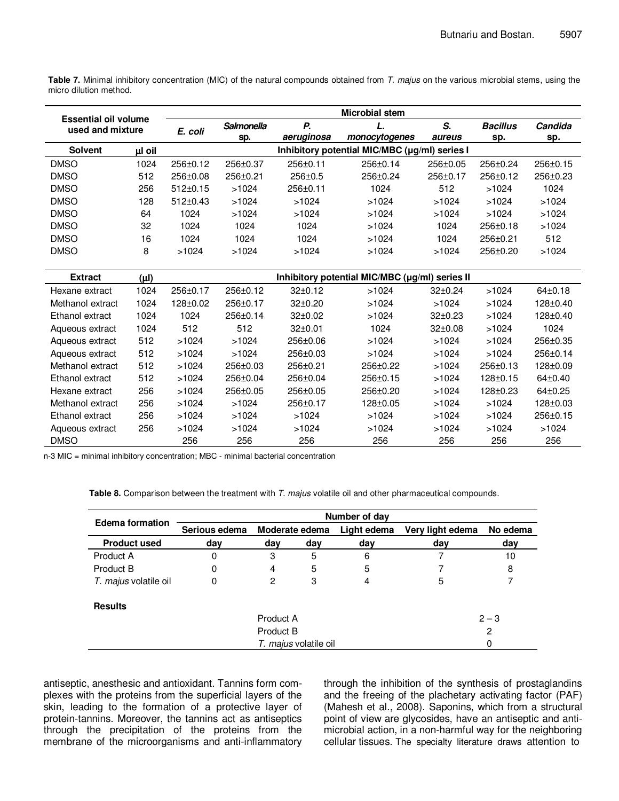**Table 7.** Minimal inhibitory concentration (MIC) of the natural compounds obtained from T. majus on the various microbial stems, using the micro dilution method.

| <b>Essential oil volume</b> |           |                |                                               |                | <b>Microbial stem</b>                          |                |                 |               |
|-----------------------------|-----------|----------------|-----------------------------------------------|----------------|------------------------------------------------|----------------|-----------------|---------------|
| used and mixture            |           | E. coli        | <b>Salmonella</b>                             | Р.             |                                                | S.             | <b>Bacillus</b> | Candida       |
|                             |           |                | sp.                                           | aeruginosa     | monocytogenes                                  | aureus         | sp.             | sp.           |
| <b>Solvent</b>              | µl oil    |                | Inhibitory potential MIC/MBC (µg/ml) series I |                |                                                |                |                 |               |
| <b>DMSO</b>                 | 1024      | 256±0.12       | 256±0.37                                      | $256 \pm 0.11$ | $256 \pm 0.14$                                 | $256 \pm 0.05$ | $256 \pm 0.24$  | 256±0.15      |
| <b>DMSO</b>                 | 512       | 256±0.08       | 256±0.21                                      | 256±0.5        | 256±0.24                                       | 256±0.17       | 256±0.12        | 256±0.23      |
| <b>DMSO</b>                 | 256       | $512 \pm 0.15$ | >1024                                         | 256±0.11       | 1024                                           | 512            | >1024           | 1024          |
| <b>DMSO</b>                 | 128       | $512 \pm 0.43$ | >1024                                         | >1024          | >1024                                          | >1024          | >1024           | >1024         |
| <b>DMSO</b>                 | 64        | 1024           | >1024                                         | >1024          | >1024                                          | >1024          | >1024           | >1024         |
| <b>DMSO</b>                 | 32        | 1024           | 1024                                          | 1024           | >1024                                          | 1024           | 256±0.18        | >1024         |
| <b>DMSO</b>                 | 16        | 1024           | 1024                                          | 1024           | >1024                                          | 1024           | 256±0.21        | 512           |
| <b>DMSO</b>                 | 8         | >1024          | >1024                                         | >1024          | >1024                                          | >1024          | 256±0.20        | >1024         |
|                             |           |                |                                               |                |                                                |                |                 |               |
| <b>Extract</b>              | $(\mu I)$ |                |                                               |                | Inhibitory potential MIC/MBC (µg/ml) series II |                |                 |               |
| Hexane extract              | 1024      | 256±0.17       | 256±0.12                                      | $32 \pm 0.12$  | >1024                                          | $32 \pm 0.24$  | >1024           | $64 \pm 0.18$ |
| Methanol extract            | 1024      | 128±0.02       | 256±0.17                                      | $32+0.20$      | >1024                                          | >1024          | >1024           | 128±0.40      |
| Ethanol extract             | 1024      | 1024           | 256±0.14                                      | $32+0.02$      | >1024                                          | $32 \pm 0.23$  | >1024           | 128±0.40      |
| Aqueous extract             | 1024      | 512            | 512                                           | $32+0.01$      | 1024                                           | $32 \pm 0.08$  | >1024           | 1024          |
| Aqueous extract             | 512       | >1024          | >1024                                         | 256±0.06       | >1024                                          | >1024          | >1024           | 256±0.35      |
| Aqueous extract             | 512       | >1024          | >1024                                         | 256±0.03       | >1024                                          | >1024          | >1024           | 256±0.14      |
| Methanol extract            | 512       | >1024          | 256±0.03                                      | 256±0.21       | 256±0.22                                       | >1024          | 256±0.13        | 128±0.09      |
| Ethanol extract             | 512       | >1024          | 256±0.04                                      | 256±0.04       | 256±0.15                                       | >1024          | $128 + 0.15$    | $64\pm0.40$   |
| Hexane extract              | 256       | >1024          | 256±0.05                                      | 256±0.05       | 256±0.20                                       | >1024          | 128±0.23        | $64 \pm 0.25$ |
| Methanol extract            | 256       | >1024          | >1024                                         | 256±0.17       | 128±0.05                                       | >1024          | >1024           | 128±0.03      |
| Ethanol extract             | 256       | >1024          | >1024                                         | >1024          | >1024                                          | >1024          | >1024           | 256±0.15      |
| Aqueous extract             | 256       | >1024          | >1024                                         | >1024          | >1024                                          | >1024          | >1024           | >1024         |
| <b>DMSO</b>                 |           | 256            | 256                                           | 256            | 256                                            | 256            | 256             | 256           |

n-3 MIC = minimal inhibitory concentration; MBC - minimal bacterial concentration

Table 8. Comparison between the treatment with T. majus volatile oil and other pharmaceutical compounds.

|                       | Number of day                   |         |             |                  |          |     |  |  |
|-----------------------|---------------------------------|---------|-------------|------------------|----------|-----|--|--|
| Edema formation       | Serious edema<br>Moderate edema |         | Light edema | Very light edema | No edema |     |  |  |
| <b>Product used</b>   | day                             | day     | day         | day              | dav      | day |  |  |
| Product A             | 0                               | 3       | 5           | 6                |          | 10  |  |  |
| Product B             | 0                               | 4       | 5           | 5                |          | 8   |  |  |
| T. majus volatile oil | 0                               | 2       | 3           | 4                | 5        |     |  |  |
| <b>Results</b>        |                                 |         |             |                  |          |     |  |  |
|                       |                                 | $2 - 3$ |             |                  |          |     |  |  |
|                       |                                 |         | 2           |                  |          |     |  |  |
|                       |                                 |         | 0           |                  |          |     |  |  |

antiseptic, anesthesic and antioxidant. Tannins form complexes with the proteins from the superficial layers of the skin, leading to the formation of a protective layer of protein-tannins. Moreover, the tannins act as antiseptics through the precipitation of the proteins from the membrane of the microorganisms and anti-inflammatory through the inhibition of the synthesis of prostaglandins and the freeing of the plachetary activating factor (PAF) (Mahesh et al., 2008). Saponins, which from a structural point of view are glycosides, have an antiseptic and antimicrobial action, in a non-harmful way for the neighboring cellular tissues. The specialty literature draws attention to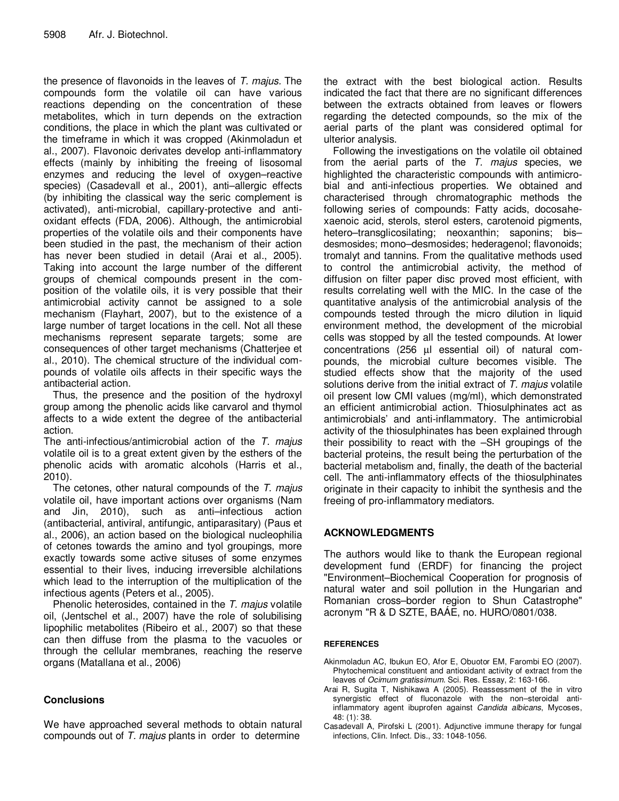the presence of flavonoids in the leaves of T. majus. The compounds form the volatile oil can have various reactions depending on the concentration of these metabolites, which in turn depends on the extraction conditions, the place in which the plant was cultivated or the timeframe in which it was cropped (Akinmoladun et al., 2007). Flavonoic derivates develop anti-inflammatory effects (mainly by inhibiting the freeing of lisosomal enzymes and reducing the level of oxygen–reactive species) (Casadevall et al., 2001), anti–allergic effects (by inhibiting the classical way the seric complement is activated), anti-microbial, capillary-protective and antioxidant effects (FDA, 2006). Although, the antimicrobial properties of the volatile oils and their components have been studied in the past, the mechanism of their action has never been studied in detail (Arai et al., 2005). Taking into account the large number of the different groups of chemical compounds present in the composition of the volatile oils, it is very possible that their antimicrobial activity cannot be assigned to a sole mechanism (Flayhart, 2007), but to the existence of a large number of target locations in the cell. Not all these mechanisms represent separate targets; some are consequences of other target mechanisms (Chatterjee et al., 2010). The chemical structure of the individual compounds of volatile oils affects in their specific ways the antibacterial action.

Thus, the presence and the position of the hydroxyl group among the phenolic acids like carvarol and thymol affects to a wide extent the degree of the antibacterial action.

The anti-infectious/antimicrobial action of the T. majus volatile oil is to a great extent given by the esthers of the phenolic acids with aromatic alcohols (Harris et al., 2010).

The cetones, other natural compounds of the T. majus volatile oil, have important actions over organisms (Nam and Jin, 2010), such as anti–infectious action (antibacterial, antiviral, antifungic, antiparasitary) (Paus et al., 2006), an action based on the biological nucleophilia of cetones towards the amino and tyol groupings, more exactly towards some active situses of some enzymes essential to their lives, inducing irreversible alchilations which lead to the interruption of the multiplication of the infectious agents (Peters et al., 2005).

Phenolic heterosides, contained in the T. majus volatile oil, (Jentschel et al., 2007) have the role of solubilising lipophilic metabolites (Ribeiro et al., 2007) so that these can then diffuse from the plasma to the vacuoles or through the cellular membranes, reaching the reserve organs (Matallana et al., 2006)

# **Conclusions**

We have approached several methods to obtain natural compounds out of  $T$ . majus plants in order to determine

the extract with the best biological action. Results indicated the fact that there are no significant differences between the extracts obtained from leaves or flowers regarding the detected compounds, so the mix of the aerial parts of the plant was considered optimal for ulterior analysis.

Following the investigations on the volatile oil obtained from the aerial parts of the  $T$ . majus species, we highlighted the characteristic compounds with antimicrobial and anti-infectious properties. We obtained and characterised through chromatographic methods the following series of compounds: Fatty acids, docosahexaenoic acid, sterols, sterol esters, carotenoid pigments, hetero–transglicosilating; neoxanthin; saponins; bis– desmosides; mono–desmosides; hederagenol; flavonoids; tromalyt and tannins. From the qualitative methods used to control the antimicrobial activity, the method of diffusion on filter paper disc proved most efficient, with results correlating well with the MIC. In the case of the quantitative analysis of the antimicrobial analysis of the compounds tested through the micro dilution in liquid environment method, the development of the microbial cells was stopped by all the tested compounds. At lower concentrations (256 µl essential oil) of natural compounds, the microbial culture becomes visible. The studied effects show that the majority of the used solutions derive from the initial extract of  $T$ . *majus* volatile oil present low CMI values (mg/ml), which demonstrated an efficient antimicrobial action. Thiosulphinates act as antimicrobials' and anti-inflammatory. The antimicrobial activity of the thiosulphinates has been explained through their possibility to react with the –SH groupings of the bacterial proteins, the result being the perturbation of the bacterial metabolism and, finally, the death of the bacterial cell. The anti-inflammatory effects of the thiosulphinates originate in their capacity to inhibit the synthesis and the freeing of pro-inflammatory mediators.

## **ACKNOWLEDGMENTS**

The authors would like to thank the European regional development fund (ERDF) for financing the project "Environment–Biochemical Cooperation for prognosis of natural water and soil pollution in the Hungarian and Romanian cross–border region to Shun Catastrophe" acronym "R & D SZTE, BAÁE, no. HURO/0801/038.

### **REFERENCES**

- Akinmoladun AC, Ibukun EO, Afor E, Obuotor EM, Farombi EO (2007). Phytochemical constituent and antioxidant activity of extract from the leaves of Ocimum gratissimum. Sci. Res. Essay, 2: 163-166.
- Arai R, Sugita T, Nishikawa A (2005). Reassessment of the in vitro synergistic effect of fluconazole with the non–steroidal antiinflammatory agent ibuprofen against Candida albicans, Mycoses, 48: (1): 38.
- Casadevall A, Pirofski L (2001). Adjunctive immune therapy for fungal infections, Clin. Infect. Dis., 33: 1048-1056.